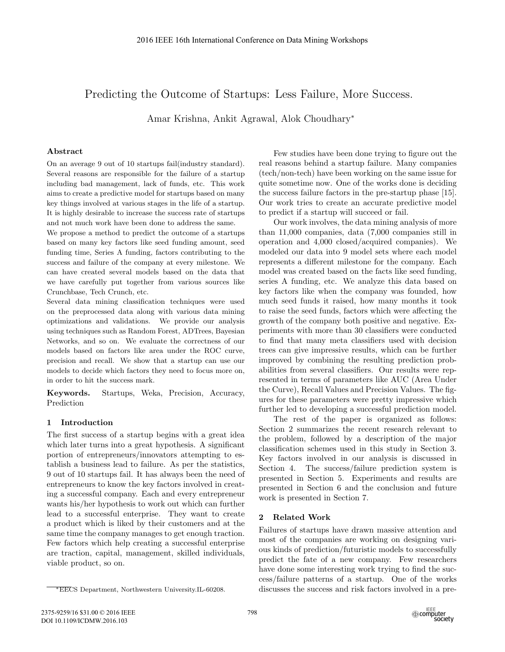# Predicting the Outcome of Startups: Less Failure, More Success.

Amar Krishna, Ankit Agrawal, Alok Choudhary<sup>∗</sup>

## **Abstract**

On an average 9 out of 10 startups fail(industry standard). Several reasons are responsible for the failure of a startup including bad management, lack of funds, etc. This work aims to create a predictive model for startups based on many key things involved at various stages in the life of a startup. It is highly desirable to increase the success rate of startups and not much work have been done to address the same.

We propose a method to predict the outcome of a startups based on many key factors like seed funding amount, seed funding time, Series A funding, factors contributing to the success and failure of the company at every milestone. We can have created several models based on the data that we have carefully put together from various sources like Crunchbase, Tech Crunch, etc.

Several data mining classification techniques were used on the preprocessed data along with various data mining optimizations and validations. We provide our analysis using techniques such as Random Forest, ADTrees, Bayesian Networks, and so on. We evaluate the correctness of our models based on factors like area under the ROC curve, precision and recall. We show that a startup can use our models to decide which factors they need to focus more on, in order to hit the success mark.

**Keywords.** Startups, Weka, Precision, Accuracy, Prediction

### **1 Introduction**

The first success of a startup begins with a great idea which later turns into a great hypothesis. A significant portion of entrepreneurs/innovators attempting to establish a business lead to failure. As per the statistics, 9 out of 10 startups fail. It has always been the need of entrepreneurs to know the key factors involved in creating a successful company. Each and every entrepreneur wants his/her hypothesis to work out which can further lead to a successful enterprise. They want to create a product which is liked by their customers and at the same time the company manages to get enough traction. Few factors which help creating a successful enterprise are traction, capital, management, skilled individuals, viable product, so on.

Few studies have been done trying to figure out the real reasons behind a startup failure. Many companies (tech/non-tech) have been working on the same issue for quite sometime now. One of the works done is deciding the success failure factors in the pre-startup phase [15]. Our work tries to create an accurate predictive model to predict if a startup will succeed or fail.

Our work involves, the data mining analysis of more than 11,000 companies, data (7,000 companies still in operation and 4,000 closed/acquired companies). We modeled our data into 9 model sets where each model represents a different milestone for the company. Each model was created based on the facts like seed funding, series A funding, etc. We analyze this data based on key factors like when the company was founded, how much seed funds it raised, how many months it took to raise the seed funds, factors which were affecting the growth of the company both positive and negative. Experiments with more than 30 classifiers were conducted to find that many meta classifiers used with decision trees can give impressive results, which can be further improved by combining the resulting prediction probabilities from several classifiers. Our results were represented in terms of parameters like AUC (Area Under the Curve), Recall Values and Precision Values. The figures for these parameters were pretty impressive which further led to developing a successful prediction model.

The rest of the paper is organized as follows: Section 2 summarizes the recent research relevant to the problem, followed by a description of the major classification schemes used in this study in Section 3. Key factors involved in our analysis is discussed in Section 4. The success/failure prediction system is presented in Section 5. Experiments and results are presented in Section 6 and the conclusion and future work is presented in Section 7.

### **2 Related Work**

Failures of startups have drawn massive attention and most of the companies are working on designing various kinds of prediction/futuristic models to successfully predict the fate of a new company. Few researchers have done some interesting work trying to find the success/failure patterns of a startup. One of the works discusses the success and risk factors involved in a pre-

<sup>∗</sup>EECS Department, Northwestern University.IL-60208.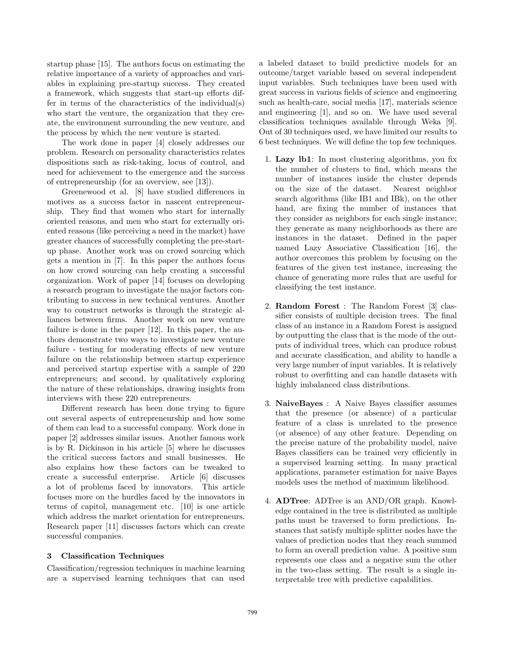startup phase [15]. The authors focus on estimating the relative importance of a variety of approaches and variables in explaining pre-startup success. They created a framework, which suggests that start-up efforts differ in terms of the characteristics of the individual(s) who start the venture, the organization that they create, the environment surrounding the new venture, and the process by which the new venture is started.

The work done in paper [4] closely addresses our problem. Research on personality characteristics relates dispositions such as risk-taking, locus of control, and need for achievement to the emergence and the success of entrepreneurship (for an overview, see [13]).

Greenewood et al. [8] have studied differences in motives as a success factor in nascent entrepreneurship. They find that women who start for internally oriented reasons, and men who start for externally oriented reasons (like perceiving a need in the market) have greater chances of successfully completing the pre-startup phase. Another work was on crowd sourcing which gets a mention in [7]. In this paper the authors focus on how crowd sourcing can help creating a successful organization. Work of paper [14] focuses on developing a research program to investigate the major factors contributing to success in new technical ventures. Another way to construct networks is through the strategic alliances between firms. Another work on new venture failure is done in the paper [12]. In this paper, the authors demonstrate two ways to investigate new venture failure - testing for moderating effects of new venture failure on the relationship between startup experience and perceived startup expertise with a sample of 220 entrepreneurs; and second, by qualitatively exploring the nature of these relationships, drawing insights from interviews with these 220 entrepreneurs.

Different research has been done trying to figure out several aspects of entrepreneurship and how some of them can lead to a successful company. Work done in paper [2] addresses similar issues. Another famous work is by R. Dickinson in his article [5] where he discusses the critical success factors and small businesses. He also explains how these factors can be tweaked to create a successful enterprise. Article [6] discusses a lot of problems faced by innovators. This article focuses more on the hurdles faced by the innovators in terms of capitol, management etc. [10] is one article which address the market orientation for entrepreneurs. Research paper [11] discusses factors which can create successful companies.

### **3 Classification Techniques**

Classification/regression techniques in machine learning are a supervised learning techniques that can used a labeled dataset to build predictive models for an outcome/target variable based on several independent input variables. Such techniques have been used with great success in various fields of science and engineering such as health-care, social media [17], materials science and engineering [1], and so on. We have used several classification techniques available through Weka [9]. Out of 30 techniques used, we have limited our results to 6 best techniques. We will define the top few techniques.

- 1. **Lazy lb1**: In most clustering algorithms, you fix the number of clusters to find, which means the number of instances inside the cluster depends on the size of the dataset. Nearest neighbor search algorithms (like IB1 and IBk), on the other hand, are fixing the number of instances that they consider as neighbors for each single instance; they generate as many neighborhoods as there are instances in the dataset. Defined in the paper named Lazy Associative Classification [16], the author overcomes this problem by focusing on the features of the given test instance, increasing the chance of generating more rules that are useful for classifying the test instance.
- 2. **Random Forest** : The Random Forest [3] classifier consists of multiple decision trees. The final class of an instance in a Random Forest is assigned by outputting the class that is the mode of the outputs of individual trees, which can produce robust and accurate classification, and ability to handle a very large number of input variables. It is relatively robust to overfitting and can handle datasets with highly imbalanced class distributions.
- 3. **NaiveBayes** : A Naive Bayes classifier assumes that the presence (or absence) of a particular feature of a class is unrelated to the presence (or absence) of any other feature. Depending on the precise nature of the probability model, naive Bayes classifiers can be trained very efficiently in a supervised learning setting. In many practical applications, parameter estimation for naive Bayes models uses the method of maximum likelihood.
- 4. **ADTree**: ADTree is an AND/OR graph. Knowledge contained in the tree is distributed as multiple paths must be traversed to form predictions. Instances that satisfy multiple splitter nodes have the values of prediction nodes that they reach summed to form an overall prediction value. A positive sum represents one class and a negative sum the other in the two-class setting. The result is a single interpretable tree with predictive capabilities.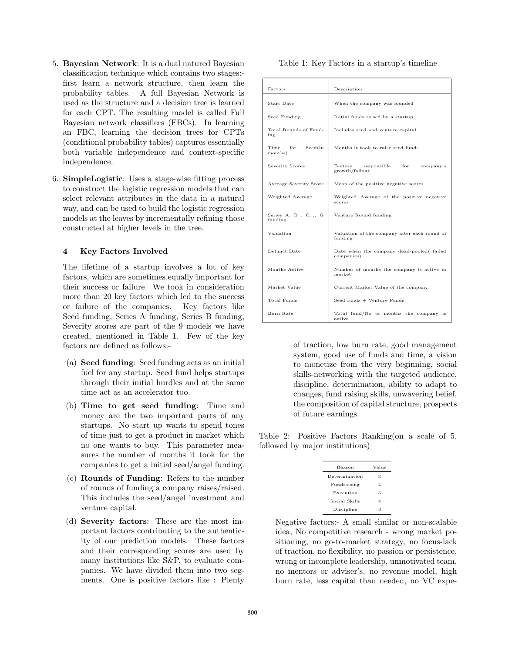- 5. **Bayesian Network**: It is a dual natured Bayesian classification technique which contains two stages: first learn a network structure, then learn the probability tables. A full Bayesian Network is used as the structure and a decision tree is learned for each CPT. The resulting model is called Full Bayesian network classifiers (FBCs). In learning an FBC, learning the decision trees for CPTs (conditional probability tables) captures essentially both variable independence and context-specific independence.
- 6. **SimpleLogistic**: Uses a stage-wise fitting process to construct the logistic regression models that can select relevant attributes in the data in a natural way, and can be used to build the logistic regression models at the leaves by incrementally refining those constructed at higher levels in the tree.

### **4 Key Factors Involved**

The lifetime of a startup involves a lot of key factors, which are sometimes equally important for their success or failure. We took in consideration more than 20 key factors which led to the success or failure of the companies. Key factors like Seed funding, Series A funding, Series B funding, Severity scores are part of the 9 models we have created, mentioned in Table 1. Few of the key factors are defined as follows:-

- (a) **Seed funding**: Seed funding acts as an initial fuel for any startup. Seed fund helps startups through their initial hurdles and at the same time act as an accelerator too.
- (b) **Time to get seed funding**: Time and money are the two important parts of any startups. No start up wants to spend tones of time just to get a product in market which no one wants to buy. This parameter measures the number of months it took for the companies to get a initial seed/angel funding.
- (c) **Rounds of Funding**: Refers to the number of rounds of funding a company raises/raised. This includes the seed/angel investment and venture capital.
- (d) **Severity factors**: These are the most important factors contributing to the authenticity of our prediction models. These factors and their corresponding scores are used by many institutions like S&P, to evaluate companies. We have divided them into two segments. One is positive factors like : Plenty

| Factors                                     | Description                                                  |  |  |  |
|---------------------------------------------|--------------------------------------------------------------|--|--|--|
| Start Date                                  | When the company was founded                                 |  |  |  |
| Seed Funding                                | Initial funds raised by a startup                            |  |  |  |
| Total Rounds of Fund-<br>ing                | Includes seed and venture capital                            |  |  |  |
| Time<br>$f_{\rm O}$ r<br>Seed(in<br>months) | Months it took to raise seed funds                           |  |  |  |
| Severity Scores                             | Factors<br>for<br>responsible<br>company's<br>growth/fallout |  |  |  |
| Average Severity Score                      | Mean of the positive negative scores                         |  |  |  |
| Weighted Average                            | Weighted Average of the positive negative<br>scores          |  |  |  |
| Series A, B, C, G<br>funding                | Venture Round funding                                        |  |  |  |
| Valuation                                   | Valuation of the company after each round of<br>funding      |  |  |  |
| Defunct Date                                | Date when the company dead-pooled(failed<br>companies)       |  |  |  |
| Months Active                               | Number of months the company is active in<br>market          |  |  |  |
| Market Value                                | Current Market Value of the company                          |  |  |  |
| Total Funds                                 | Seed funds + Venture Funds                                   |  |  |  |
| Burn Rate                                   | Total fund/No of months the company is<br>active             |  |  |  |

of traction, low burn rate, good management system, good use of funds and time, a vision to monetize from the very beginning, social skills-networking with the targeted audience, discipline, determination, ability to adapt to changes, fund raising skills, unwavering belief, the composition of capital structure, prospects of future earnings.

Table 2: Positive Factors Ranking(on a scale of 5, followed by major institutions)

| Reason        | Value |
|---------------|-------|
| Determination | з     |
| Fundraising   | 4     |
| Execution     | 5     |
| Social Skills | Δ     |
| Discipline    | 3     |

Negative factors:- A small similar or non-scalable idea, No competitive research - wrong market positioning, no go-to-market strategy, no focus-lack of traction, no flexibility, no passion or persistence, wrong or incomplete leadership, unmotivated team, no mentors or adviser's, no revenue model, high burn rate, less capital than needed, no VC expe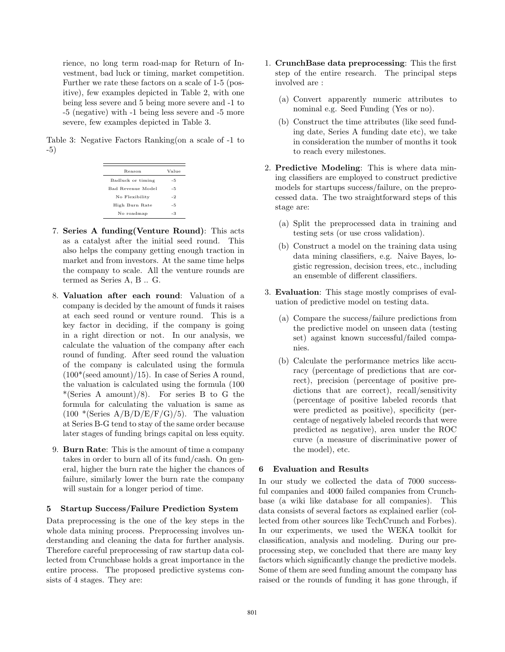rience, no long term road-map for Return of Investment, bad luck or timing, market competition. Further we rate these factors on a scale of 1-5 (positive), few examples depicted in Table 2, with one being less severe and 5 being more severe and -1 to -5 (negative) with -1 being less severe and -5 more severe, few examples depicted in Table 3.

Table 3: Negative Factors Ranking(on a scale of -1 to -5)

| Reason            | Value |  |
|-------------------|-------|--|
| Badluck or timing | -5    |  |
| Bad Revenue Model | -5    |  |
| No Flexibility    | $-2$  |  |
| High Burn Rate    | -5    |  |
| No roadmap        | -3    |  |
|                   |       |  |

- 7. **Series A funding(Venture Round)**: This acts as a catalyst after the initial seed round. This also helps the company getting enough traction in market and from investors. At the same time helps the company to scale. All the venture rounds are termed as Series A, B .. G.
- 8. **Valuation after each round**: Valuation of a company is decided by the amount of funds it raises at each seed round or venture round. This is a key factor in deciding, if the company is going in a right direction or not. In our analysis, we calculate the valuation of the company after each round of funding. After seed round the valuation of the company is calculated using the formula  $(100<sup>*</sup>(seed amount)/15)$ . In case of Series A round, the valuation is calculated using the formula (100 \*(Series A amount)/8). For series B to G the formula for calculating the valuation is same as  $(100 * (Series A/B/D/E/F/G)/5)$ . The valuation at Series B-G tend to stay of the same order because later stages of funding brings capital on less equity.
- 9. **Burn Rate**: This is the amount of time a company takes in order to burn all of its fund/cash. On general, higher the burn rate the higher the chances of failure, similarly lower the burn rate the company will sustain for a longer period of time.

### **5 Startup Success/Failure Prediction System**

Data preprocessing is the one of the key steps in the whole data mining process. Preprocessing involves understanding and cleaning the data for further analysis. Therefore careful preprocessing of raw startup data collected from Crunchbase holds a great importance in the entire process. The proposed predictive systems consists of 4 stages. They are:

- 1. **CrunchBase data preprocessing**: This the first step of the entire research. The principal steps involved are :
	- (a) Convert apparently numeric attributes to nominal e.g. Seed Funding (Yes or no).
	- (b) Construct the time attributes (like seed funding date, Series A funding date etc), we take in consideration the number of months it took to reach every milestones.
- 2. **Predictive Modeling**: This is where data mining classifiers are employed to construct predictive models for startups success/failure, on the preprocessed data. The two straightforward steps of this stage are:
	- (a) Split the preprocessed data in training and testing sets (or use cross validation).
	- (b) Construct a model on the training data using data mining classifiers, e.g. Naive Bayes, logistic regression, decision trees, etc., including an ensemble of different classifiers.
- 3. **Evaluation**: This stage mostly comprises of evaluation of predictive model on testing data.
	- (a) Compare the success/failure predictions from the predictive model on unseen data (testing set) against known successful/failed companies.
	- (b) Calculate the performance metrics like accuracy (percentage of predictions that are correct), precision (percentage of positive predictions that are correct), recall/sensitivity (percentage of positive labeled records that were predicted as positive), specificity (percentage of negatively labeled records that were predicted as negative), area under the ROC curve (a measure of discriminative power of the model), etc.

### **6 Evaluation and Results**

In our study we collected the data of 7000 successful companies and 4000 failed companies from Crunchbase (a wiki like database for all companies). This data consists of several factors as explained earlier (collected from other sources like TechCrunch and Forbes). In our experiments, we used the WEKA toolkit for classification, analysis and modeling. During our preprocessing step, we concluded that there are many key factors which significantly change the predictive models. Some of them are seed funding amount the company has raised or the rounds of funding it has gone through, if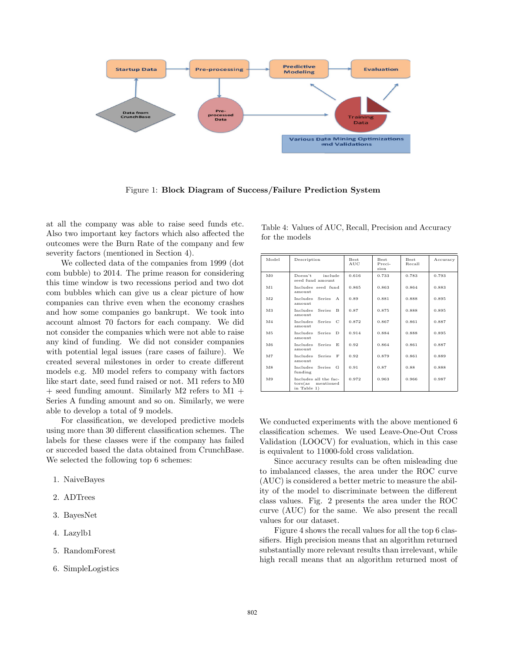

Figure 1: **Block Diagram of Success/Failure Prediction System**

at all the company was able to raise seed funds etc. Also two important key factors which also affected the outcomes were the Burn Rate of the company and few severity factors (mentioned in Section 4).

We collected data of the companies from 1999 (dot com bubble) to 2014. The prime reason for considering this time window is two recessions period and two dot com bubbles which can give us a clear picture of how companies can thrive even when the economy crashes and how some companies go bankrupt. We took into account almost 70 factors for each company. We did not consider the companies which were not able to raise any kind of funding. We did not consider companies with potential legal issues (rare cases of failure). We created several milestones in order to create different models e.g. M0 model refers to company with factors like start date, seed fund raised or not. M1 refers to M0  $+$  seed funding amount. Similarly M2 refers to M1  $+$ Series A funding amount and so on. Similarly, we were able to develop a total of 9 models.

For classification, we developed predictive models using more than 30 different classification schemes. The labels for these classes were if the company has failed or succeded based the data obtained from CrunchBase. We selected the following top 6 schemes:

- 1. NaiveBayes
- 2. ADTrees
- 3. BayesNet
- 4. Lazylb1
- 5. RandomForest
- 6. SimpleLogistics

| Model          | Description                                                  | Best<br>AUC | <b>Best</b><br>Preci-<br>sion | Best<br>Recall | Accuracy |
|----------------|--------------------------------------------------------------|-------------|-------------------------------|----------------|----------|
| $_{\rm M0}$    | Doesn't<br>include<br>seed fund amount                       | 0.616       | 0.733                         | 0.783          | 0.793    |
| M1             | Includes seed fund<br>amount                                 | 0.865       | 0.863                         | 0.864          | 0.883    |
| M <sub>2</sub> | Series A<br>Includes<br>amount                               | 0.89        | 0.881                         | 0.888          | 0.895    |
| M3             | Includes<br>Series<br>B<br>amount                            | 0.87        | 0.875                         | 0.888          | 0.895    |
| M <sub>4</sub> | <b>Includes</b><br>Series<br>$\mathcal{C}$<br>amount         | 0.872       | 0.867                         | 0.861          | 0.887    |
| M <sub>5</sub> | Includes<br>Series<br>$\mathbb{D}$<br>amount                 | 0.914       | 0.884                         | 0.888          | 0.895    |
| M6             | Series<br>E<br>Includes<br>amount                            | 0.92        | 0.864                         | 0.861          | 0.887    |
| M7             | Includes<br>Series<br>$\mathbf{F}$<br>amount                 | 0.92        | 0.879                         | 0.861          | 0.889    |
| M8             | Includes<br>Series G<br>funding                              | 0.91        | 0.87                          | 0.88           | 0.888    |
| M9             | Includes all the fac-<br>tors(as<br>mentioned<br>in Table 1) | 0.972       | 0.963                         | 0.966          | 0.987    |

Table 4: Values of AUC, Recall, Precision and Accuracy for the models

We conducted experiments with the above mentioned 6 classification schemes. We used Leave-One-Out Cross Validation (LOOCV) for evaluation, which in this case is equivalent to 11000-fold cross validation.

Since accuracy results can be often misleading due to imbalanced classes, the area under the ROC curve (AUC) is considered a better metric to measure the ability of the model to discriminate between the different class values. Fig. 2 presents the area under the ROC curve (AUC) for the same. We also present the recall values for our dataset.

Figure 4 shows the recall values for all the top 6 classifiers. High precision means that an algorithm returned substantially more relevant results than irrelevant, while high recall means that an algorithm returned most of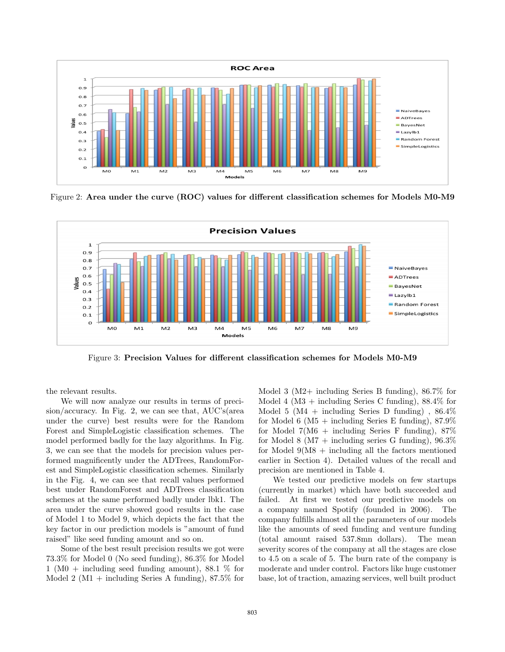

Figure 2: **Area under the curve (ROC) values for different classification schemes for Models M0-M9**



Figure 3: **Precision Values for different classification schemes for Models M0-M9**

the relevant results.

We will now analyze our results in terms of precision/accuracy. In Fig. 2, we can see that, AUC's(area under the curve) best results were for the Random Forest and SimpleLogistic classification schemes. The model performed badly for the lazy algorithms. In Fig. 3, we can see that the models for precision values performed magnificently under the ADTrees, RandomForest and SimpleLogistic classification schemes. Similarly in the Fig. 4, we can see that recall values performed best under RandomForest and ADTrees classification schemes at the same performed badly under lbk1. The area under the curve showed good results in the case of Model 1 to Model 9, which depicts the fact that the key factor in our prediction models is "amount of fund raised" like seed funding amount and so on.

Some of the best result precision results we got were 73.3% for Model 0 (No seed funding), 86.3% for Model 1 (M0 + including seed funding amount), 88.1 % for Model 2 ( $M1$  + including Series A funding), 87.5% for Model 3 (M2+ including Series B funding), 86.7% for Model 4 ( $M3$  + including Series C funding),  $88.4\%$  for Model 5 ( $\text{M4}$  + including Series D funding), 86.4\% for Model 6 (M5 + including Series E funding),  $87.9\%$ for Model  $7(M6 + \text{including Series } F \text{ funding}), 87\%$ for Model 8 ( $M7 + \text{including series } G \text{ funding}$ ), 96.3% for Model  $9(M8 + \text{including all the factors mentioned})$ earlier in Section 4). Detailed values of the recall and precision are mentioned in Table 4.

We tested our predictive models on few startups (currently in market) which have both succeeded and failed. At first we tested our predictive models on a company named Spotify (founded in 2006). The company fulfills almost all the parameters of our models like the amounts of seed funding and venture funding (total amount raised 537.8mn dollars). The mean severity scores of the company at all the stages are close to 4.5 on a scale of 5. The burn rate of the company is moderate and under control. Factors like huge customer base, lot of traction, amazing services, well built product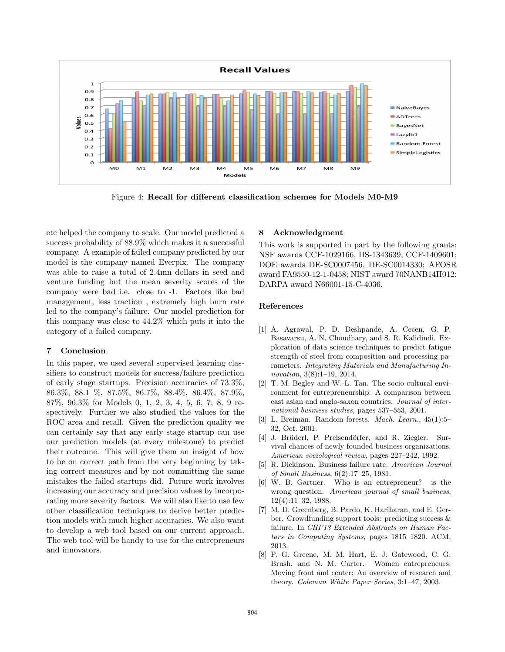

Figure 4: **Recall for different classification schemes for Models M0-M9**

etc helped the company to scale. Our model predicted a success probability of 88.9% which makes it a successful company. A example of failed company predicted by our model is the company named Everpix. The company was able to raise a total of 2.4mn dollars in seed and venture funding but the mean severity scores of the company were bad i.e. close to -1. Factors like bad management, less traction , extremely high burn rate led to the company's failure. Our model prediction for this company was close to 44.2% which puts it into the category of a failed company.

### **7 Conclusion**

In this paper, we used several supervised learning classifiers to construct models for success/failure prediction of early stage startups. Precision accuracies of 73.3%, 86.3%, 88.1 %, 87.5%, 86.7%, 88.4%, 86.4%, 87.9%, 87%, 96.3% for Models 0, 1, 2, 3, 4, 5, 6, 7, 8, 9 respectively. Further we also studied the values for the ROC area and recall. Given the prediction quality we can certainly say that any early stage startup can use our prediction models (at every milestone) to predict their outcome. This will give them an insight of how to be on correct path from the very beginning by taking correct measures and by not committing the same mistakes the failed startups did. Future work involves increasing our accuracy and precision values by incorporating more severity factors. We will also like to use few other classification techniques to derive better prediction models with much higher accuracies. We also want to develop a web tool based on our current approach. The web tool will be handy to use for the entrepreneurs and innovators.

### **8 Acknowledgment**

This work is supported in part by the following grants: NSF awards CCF-1029166, IIS-1343639, CCF-1409601; DOE awards DE-SC0007456, DE-SC0014330; AFOSR award FA9550-12-1-0458; NIST award 70NANB14H012; DARPA award N66001-15-C-4036.

### **References**

- [1] A. Agrawal, P. D. Deshpande, A. Cecen, G. P. Basavarsu, A. N. Choudhary, and S. R. Kalidindi. Exploration of data science techniques to predict fatigue strength of steel from composition and processing parameters. *Integrating Materials and Manufacturing Innovation*, 3(8):1–19, 2014.
- [2] T. M. Begley and W.-L. Tan. The socio-cultural environment for entrepreneurship: A comparison between east asian and anglo-saxon countries. *Journal of international business studies*, pages 537–553, 2001.
- [3] L. Breiman. Random forests. *Mach. Learn.*, 45(1):5– 32, Oct. 2001.
- [4] J. Brüderl, P. Preisendörfer, and R. Ziegler. Survival chances of newly founded business organizations. *American sociological review*, pages 227–242, 1992.
- [5] R. Dickinson. Business failure rate. *American Journal of Small Business*, 6(2):17–25, 1981.
- [6] W. B. Gartner. Who is an entrepreneur? is the wrong question. *American journal of small business*, 12(4):11–32, 1988.
- [7] M. D. Greenberg, B. Pardo, K. Hariharan, and E. Gerber. Crowdfunding support tools: predicting success & failure. In *CHI'13 Extended Abstracts on Human Factors in Computing Systems*, pages 1815–1820. ACM, 2013.
- [8] P. G. Greene, M. M. Hart, E. J. Gatewood, C. G. Brush, and N. M. Carter. Women entrepreneurs: Moving front and center: An overview of research and theory. *Coleman White Paper Series*, 3:1–47, 2003.